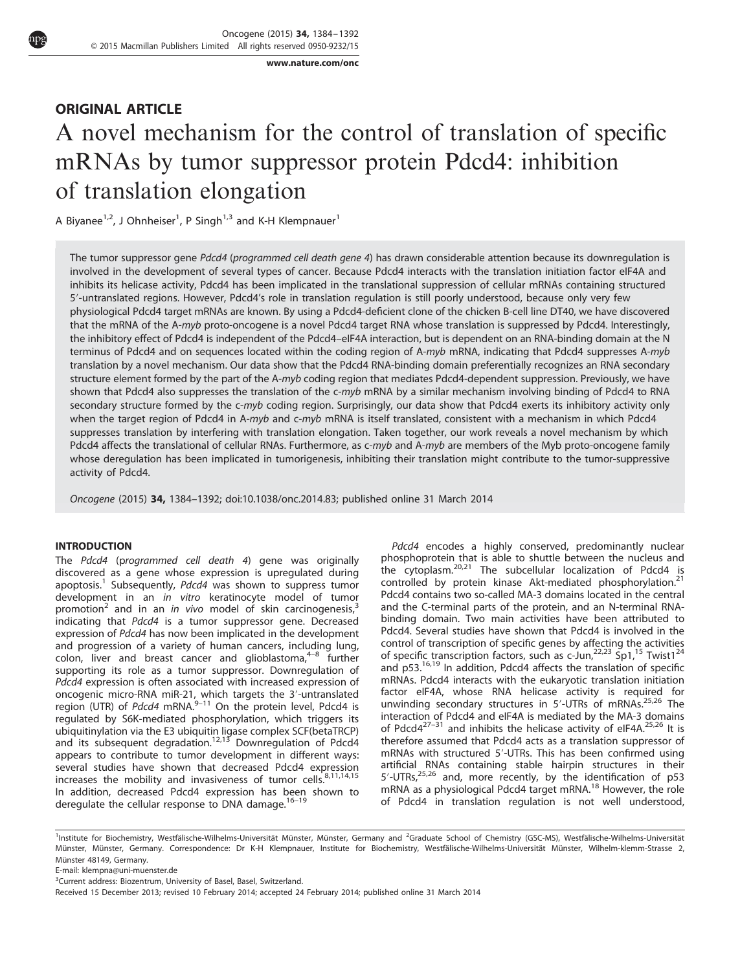www.nature.com/onc

# ORIGINAL ARTICLE

# A novel mechanism for the control of translation of specific mRNAs by tumor suppressor protein Pdcd4: inhibition of translation elongation

A Biyanee<sup>1,2</sup>, J Ohnheiser<sup>1</sup>, P Singh<sup>1,3</sup> and K-H Klempnauer<sup>1</sup>

The tumor suppressor gene Pdcd4 (programmed cell death gene 4) has drawn considerable attention because its downregulation is involved in the development of several types of cancer. Because Pdcd4 interacts with the translation initiation factor eIF4A and inhibits its helicase activity, Pdcd4 has been implicated in the translational suppression of cellular mRNAs containing structured 5′-untranslated regions. However, Pdcd4's role in translation regulation is still poorly understood, because only very few physiological Pdcd4 target mRNAs are known. By using a Pdcd4-deficient clone of the chicken B-cell line DT40, we have discovered that the mRNA of the A-myb proto-oncogene is a novel Pdcd4 target RNA whose translation is suppressed by Pdcd4. Interestingly, the inhibitory effect of Pdcd4 is independent of the Pdcd4–eIF4A interaction, but is dependent on an RNA-binding domain at the N terminus of Pdcd4 and on sequences located within the coding region of A-myb mRNA, indicating that Pdcd4 suppresses A-myb translation by a novel mechanism. Our data show that the Pdcd4 RNA-binding domain preferentially recognizes an RNA secondary structure element formed by the part of the A-myb coding region that mediates Pdcd4-dependent suppression. Previously, we have shown that Pdcd4 also suppresses the translation of the c-myb mRNA by a similar mechanism involving binding of Pdcd4 to RNA secondary structure formed by the c-myb coding region. Surprisingly, our data show that Pdcd4 exerts its inhibitory activity only when the target region of Pdcd4 in A-myb and c-myb mRNA is itself translated, consistent with a mechanism in which Pdcd4 suppresses translation by interfering with translation elongation. Taken together, our work reveals a novel mechanism by which Pdcd4 affects the translational of cellular RNAs. Furthermore, as c-myb and A-myb are members of the Myb proto-oncogene family whose deregulation has been implicated in tumorigenesis, inhibiting their translation might contribute to the tumor-suppressive activity of Pdcd4.

Oncogene (2015) 34, 1384–1392; doi:10.1038/onc.2014.83; published online 31 March 2014

# INTRODUCTION

The Pdcd4 (programmed cell death 4) gene was originally discovered as a gene whose expression is upregulated during apoptosis.<sup>1</sup> Subsequently, Pdcd4 was shown to suppress tumor development in an in vitro keratinocyte model of tumor promotion<sup>2</sup> and in an in vivo model of skin carcinogenesis,<sup>3</sup> indicating that Pdcd4 is a tumor suppressor gene. Decreased expression of Pdcd4 has now been implicated in the development and progression of a variety of human cancers, including lung, and progression of a variety of hannal cancers, including lang, supporting its role as a tumor suppressor. Downregulation of Pdcd4 expression is often associated with increased expression of oncogenic micro-RNA miR-21, which targets the 3′-untranslated energion (UTR) of *Pdcd4* mRNA.<sup>9–11</sup> On the protein level, Pdcd4 is regulated by S6K-mediated phosphorylation, which triggers its ubiquitinylation via the E3 ubiquitin ligase complex SCF(betaTRCP)<br>and its subsequent degradation.<sup>12,13</sup> Downregulation of Pdcd4 appears to contribute to tumor development in different ways: several studies have shown that decreased Pdcd4 expression increases the mobility and invasiveness of tumor cells.<sup>8,11,14,15</sup> In addition, decreased Pdcd4 expression has been shown to deregulate the cellular response to DNA damage.<sup>16-19</sup>

Pdcd4 encodes a highly conserved, predominantly nuclear phosphoprotein that is able to shuttle between the nucleus and the cytoplasm.<sup>20,21</sup> The subcellular localization of Pdcd4 is controlled by protein kinase Akt-mediated phosphorylation.<sup>21</sup> Pdcd4 contains two so-called MA-3 domains located in the central and the C-terminal parts of the protein, and an N-terminal RNAbinding domain. Two main activities have been attributed to Pdcd4. Several studies have shown that Pdcd4 is involved in the control of transcription of specific genes by affecting the activities of specific transcription factors, such as  $c$ -Jun, $22,23$  Sp1, $15$  Twist1<sup>24</sup> and p53.<sup>16,19</sup> In addition, Pdcd4 affects the translation of specific mRNAs. Pdcd4 interacts with the eukaryotic translation initiation factor eIF4A, whose RNA helicase activity is required for unwinding secondary structures in 5′-UTRs of mRNAs.25,26 The interaction of Pdcd4 and eIF4A is mediated by the MA-3 domains of Pdcd $4^{27-31}$  and inhibits the helicase activity of eIF4A.<sup>25,26</sup> It is therefore assumed that Pdcd4 acts as a translation suppressor of mRNAs with structured 5′-UTRs. This has been confirmed using artificial RNAs containing stable hairpin structures in their 5'-UTRs,<sup>25,26</sup> and, more recently, by the identification of p53 mRNA as a physiological Pdcd4 target mRNA.<sup>18</sup> However, the role of Pdcd4 in translation regulation is not well understood,

<sup>1</sup>Institute for Biochemistry, Westfälische-Wilhelms-Universität Münster, Münster, Germany and <sup>2</sup>Graduate School of Chemistry (GSC-MS), Westfälische-Wilhelms-Universität Münster, Münster, Germany. Correspondence: Dr K-H Klempnauer, Institute for Biochemistry, Westfälische-Wilhelms-Universität Münster, Wilhelm-klemm-Strasse 2, Münster 48149, Germany.

E-mail: klempna@uni-muenster.de

<sup>&</sup>lt;sup>3</sup>Current address: Biozentrum, University of Basel, Basel, Switzerland.

Received 15 December 2013; revised 10 February 2014; accepted 24 February 2014; published online 31 March 2014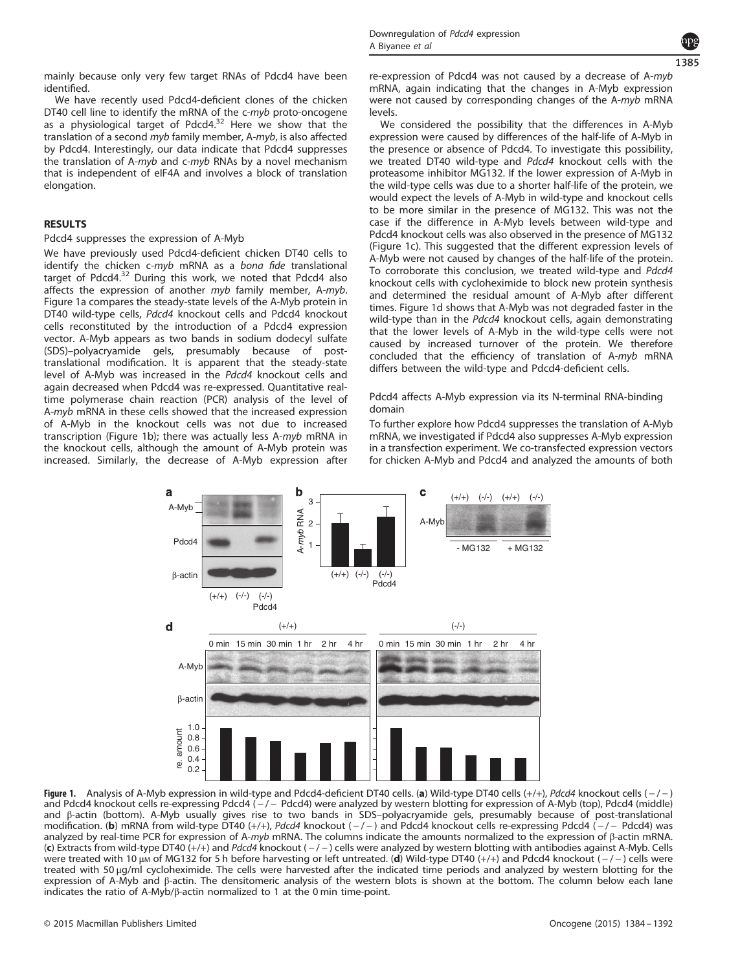mainly because only very few target RNAs of Pdcd4 have been identified.

We have recently used Pdcd4-deficient clones of the chicken DT40 cell line to identify the mRNA of the c-myb proto-oncogene as a physiological target of Pdcd4.<sup>32</sup> Here we show that the translation of a second myb family member, A-myb, is also affected by Pdcd4. Interestingly, our data indicate that Pdcd4 suppresses the translation of A-myb and c-myb RNAs by a novel mechanism that is independent of eIF4A and involves a block of translation elongation.

# **RESULTS**

# Pdcd4 suppresses the expression of A-Myb

We have previously used Pdcd4-deficient chicken DT40 cells to identify the chicken c-myb mRNA as a bona fide translational target of Pdcd4.<sup>32</sup> During this work, we noted that Pdcd4 also affects the expression of another myb family member, A-myb. Figure 1a compares the steady-state levels of the A-Myb protein in DT40 wild-type cells, Pdcd4 knockout cells and Pdcd4 knockout cells reconstituted by the introduction of a Pdcd4 expression vector. A-Myb appears as two bands in sodium dodecyl sulfate (SDS)–polyacryamide gels, presumably because of posttranslational modification. It is apparent that the steady-state level of A-Myb was increased in the Pdcd4 knockout cells and again decreased when Pdcd4 was re-expressed. Quantitative realtime polymerase chain reaction (PCR) analysis of the level of A-myb mRNA in these cells showed that the increased expression of A-Myb in the knockout cells was not due to increased transcription (Figure 1b); there was actually less A-myb mRNA in the knockout cells, although the amount of A-Myb protein was increased. Similarly, the decrease of A-Myb expression after re-expression of Pdcd4 was not caused by a decrease of A-myb mRNA, again indicating that the changes in A-Myb expression were not caused by corresponding changes of the A-myb mRNA levels.

We considered the possibility that the differences in A-Myb expression were caused by differences of the half-life of A-Myb in the presence or absence of Pdcd4. To investigate this possibility, we treated DT40 wild-type and Pdcd4 knockout cells with the proteasome inhibitor MG132. If the lower expression of A-Myb in the wild-type cells was due to a shorter half-life of the protein, we would expect the levels of A-Myb in wild-type and knockout cells to be more similar in the presence of MG132. This was not the case if the difference in A-Myb levels between wild-type and Pdcd4 knockout cells was also observed in the presence of MG132 (Figure 1c). This suggested that the different expression levels of A-Myb were not caused by changes of the half-life of the protein. To corroborate this conclusion, we treated wild-type and Pdcd4 knockout cells with cycloheximide to block new protein synthesis and determined the residual amount of A-Myb after different times. Figure 1d shows that A-Myb was not degraded faster in the wild-type than in the *Pdcd4* knockout cells, again demonstrating that the lower levels of A-Myb in the wild-type cells were not caused by increased turnover of the protein. We therefore concluded that the efficiency of translation of A-myb mRNA differs between the wild-type and Pdcd4-deficient cells.

# Pdcd4 affects A-Myb expression via its N-terminal RNA-binding domain

To further explore how Pdcd4 suppresses the translation of A-Myb mRNA, we investigated if Pdcd4 also suppresses A-Myb expression in a transfection experiment. We co-transfected expression vectors for chicken A-Myb and Pdcd4 and analyzed the amounts of both



Figure 1. Analysis of A-Myb expression in wild-type and Pdcd4-deficient DT40 cells. (a) Wild-type DT40 cells  $(+/+)$ , Pdcd4 knockout cells  $(-/-)$ and Pdcd4 knockout cells re-expressing Pdcd4 (-/- Pdcd4) were analyzed by western blotting for expression of A-Myb (top), Pdcd4 (middle) and β-actin (bottom). A-Myb usually gives rise to two bands in SDS–polyacryamide gels, presumably because of post-translational modification. (b) mRNA from wild-type DT40 (+/+), Pdcd4 knockout (-/-) and Pdcd4 knockout cells re-expressing Pdcd4 (-/- Pdcd4) was analyzed by real-time PCR for expression of A-myb mRNA. The columns indicate the amounts normalized to the expression of β-actin mRNA. (c) Extracts from wild-type DT40 (+/+) and Pdcd4 knockout (-/-) cells were analyzed by western blotting with antibodies against A-Myb. Cells were treated with 10 μm of MG132 for 5 h before harvesting or left untreated. (d) Wild-type DT40 (+/+) and Pdcd4 knockout (-/-) cells were treated with 50 μg/ml cycloheximide. The cells were harvested after the indicated time periods and analyzed by western blotting for the expression of A-Myb and β-actin. The densitomeric analysis of the western blots is shown at the bottom. The column below each lane indicates the ratio of A-Myb/β-actin normalized to 1 at the 0 min time-point.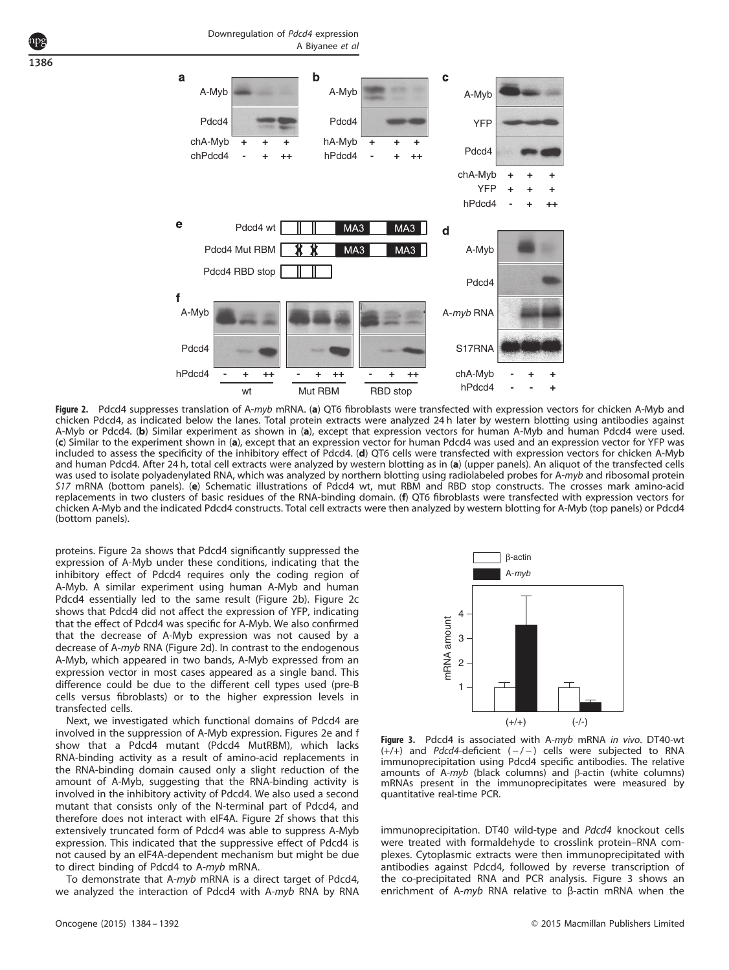1386



Figure 2. Pdcd4 suppresses translation of A-myb mRNA. (a) QT6 fibroblasts were transfected with expression vectors for chicken A-Myb and chicken Pdcd4, as indicated below the lanes. Total protein extracts were analyzed 24 h later by western blotting using antibodies against A-Myb or Pdcd4. (b) Similar experiment as shown in (a), except that expression vectors for human A-Myb and human Pdcd4 were used. (c) Similar to the experiment shown in (a), except that an expression vector for human Pdcd4 was used and an expression vector for YFP was included to assess the specificity of the inhibitory effect of Pdcd4. (d) QT6 cells were transfected with expression vectors for chicken A-Myb and human Pdcd4. After 24 h, total cell extracts were analyzed by western blotting as in (a) (upper panels). An aliquot of the transfected cells was used to isolate polyadenylated RNA, which was analyzed by northern blotting using radiolabeled probes for A-*myb* and ribosomal protein<br>S17 mRNA (bottom panels). (e) Schematic illustrations of Pdcd4 wt, mut RBM and RBD replacements in two clusters of basic residues of the RNA-binding domain. (f) QT6 fibroblasts were transfected with expression vectors for chicken A-Myb and the indicated Pdcd4 constructs. Total cell extracts were then analyzed by western blotting for A-Myb (top panels) or Pdcd4 (bottom panels).

proteins. Figure 2a shows that Pdcd4 significantly suppressed the expression of A-Myb under these conditions, indicating that the inhibitory effect of Pdcd4 requires only the coding region of A-Myb. A similar experiment using human A-Myb and human Pdcd4 essentially led to the same result (Figure 2b). Figure 2c shows that Pdcd4 did not affect the expression of YFP, indicating that the effect of Pdcd4 was specific for A-Myb. We also confirmed that the decrease of A-Myb expression was not caused by a decrease of A-myb RNA (Figure 2d). In contrast to the endogenous A-Myb, which appeared in two bands, A-Myb expressed from an expression vector in most cases appeared as a single band. This difference could be due to the different cell types used (pre-B cells versus fibroblasts) or to the higher expression levels in transfected cells.

Next, we investigated which functional domains of Pdcd4 are involved in the suppression of A-Myb expression. Figures 2e and f show that a Pdcd4 mutant (Pdcd4 MutRBM), which lacks RNA-binding activity as a result of amino-acid replacements in the RNA-binding domain caused only a slight reduction of the amount of A-Myb, suggesting that the RNA-binding activity is involved in the inhibitory activity of Pdcd4. We also used a second mutant that consists only of the N-terminal part of Pdcd4, and therefore does not interact with eIF4A. Figure 2f shows that this extensively truncated form of Pdcd4 was able to suppress A-Myb expression. This indicated that the suppressive effect of Pdcd4 is not caused by an eIF4A-dependent mechanism but might be due to direct binding of Pdcd4 to A-myb mRNA.

To demonstrate that A-myb mRNA is a direct target of Pdcd4, we analyzed the interaction of Pdcd4 with A-myb RNA by RNA



Figure 3. Pdcd4 is associated with A-myb mRNA in vivo. DT40-wt  $(+/+)$  and Pdcd4-deficient  $(-/-)$  cells were subjected to RNA immunoprecipitation using Pdcd4 specific antibodies. The relative amounts of A-myb (black columns) and β-actin (white columns) mRNAs present in the immunoprecipitates were measured by quantitative real-time PCR.

immunoprecipitation. DT40 wild-type and Pdcd4 knockout cells were treated with formaldehyde to crosslink protein–RNA complexes. Cytoplasmic extracts were then immunoprecipitated with antibodies against Pdcd4, followed by reverse transcription of the co-precipitated RNA and PCR analysis. Figure 3 shows an enrichment of A-myb RNA relative to β-actin mRNA when the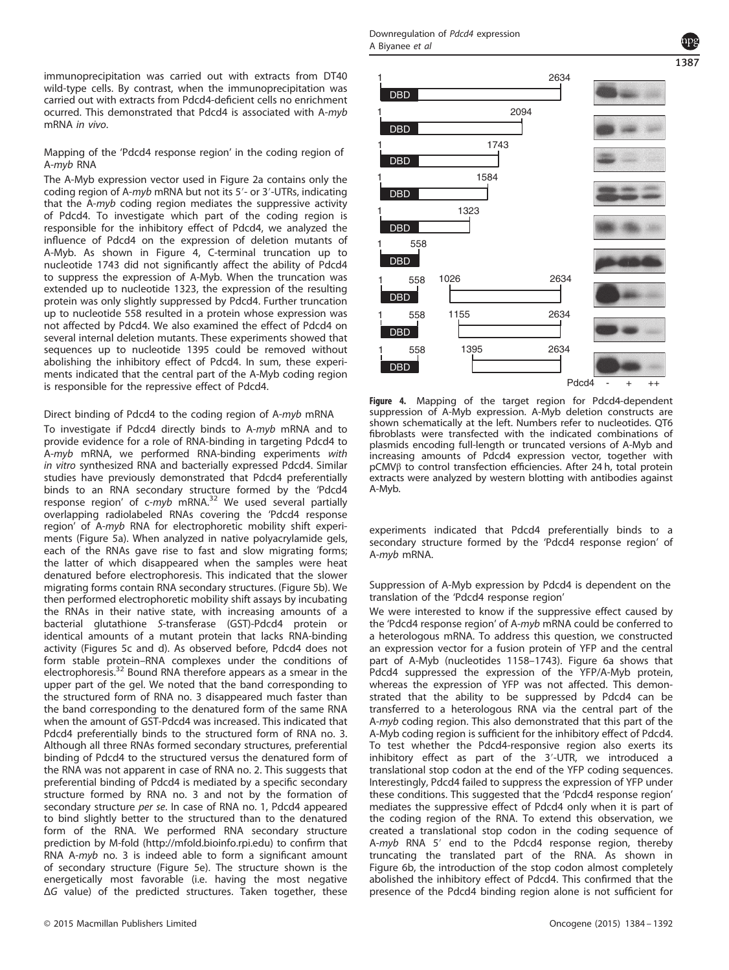immunoprecipitation was carried out with extracts from DT40 wild-type cells. By contrast, when the immunoprecipitation was carried out with extracts from Pdcd4-deficient cells no enrichment ocurred. This demonstrated that Pdcd4 is associated with A-myb mRNA in vivo.

Mapping of the 'Pdcd4 response region' in the coding region of A-myb RNA

The A-Myb expression vector used in Figure 2a contains only the coding region of A-myb mRNA but not its 5′- or 3′-UTRs, indicating that the A-myb coding region mediates the suppressive activity of Pdcd4. To investigate which part of the coding region is responsible for the inhibitory effect of Pdcd4, we analyzed the influence of Pdcd4 on the expression of deletion mutants of A-Myb. As shown in Figure 4, C-terminal truncation up to nucleotide 1743 did not significantly affect the ability of Pdcd4 to suppress the expression of A-Myb. When the truncation was extended up to nucleotide 1323, the expression of the resulting protein was only slightly suppressed by Pdcd4. Further truncation up to nucleotide 558 resulted in a protein whose expression was not affected by Pdcd4. We also examined the effect of Pdcd4 on several internal deletion mutants. These experiments showed that sequences up to nucleotide 1395 could be removed without abolishing the inhibitory effect of Pdcd4. In sum, these experiments indicated that the central part of the A-Myb coding region is responsible for the repressive effect of Pdcd4.

# Direct binding of Pdcd4 to the coding region of A-myb mRNA

To investigate if Pdcd4 directly binds to A-myb mRNA and to provide evidence for a role of RNA-binding in targeting Pdcd4 to A-myb mRNA, we performed RNA-binding experiments with in vitro synthesized RNA and bacterially expressed Pdcd4. Similar studies have previously demonstrated that Pdcd4 preferentially binds to an RNA secondary structure formed by the 'Pdcd4 response region' of c-myb mRNA.<sup>32</sup> We used several partially overlapping radiolabeled RNAs covering the 'Pdcd4 response region' of A-myb RNA for electrophoretic mobility shift experiments (Figure 5a). When analyzed in native polyacrylamide gels, each of the RNAs gave rise to fast and slow migrating forms; the latter of which disappeared when the samples were heat denatured before electrophoresis. This indicated that the slower migrating forms contain RNA secondary structures. (Figure 5b). We then performed electrophoretic mobility shift assays by incubating the RNAs in their native state, with increasing amounts of a bacterial glutathione S-transferase (GST)-Pdcd4 protein or identical amounts of a mutant protein that lacks RNA-binding activity (Figures 5c and d). As observed before, Pdcd4 does not form stable protein–RNA complexes under the conditions of electrophoresis.<sup>32</sup> Bound RNA therefore appears as a smear in the upper part of the gel. We noted that the band corresponding to the structured form of RNA no. 3 disappeared much faster than the band corresponding to the denatured form of the same RNA when the amount of GST-Pdcd4 was increased. This indicated that Pdcd4 preferentially binds to the structured form of RNA no. 3. Although all three RNAs formed secondary structures, preferential binding of Pdcd4 to the structured versus the denatured form of the RNA was not apparent in case of RNA no. 2. This suggests that preferential binding of Pdcd4 is mediated by a specific secondary structure formed by RNA no. 3 and not by the formation of secondary structure per se. In case of RNA no. 1, Pdcd4 appeared to bind slightly better to the structured than to the denatured form of the RNA. We performed RNA secondary structure prediction by M-fold (http://mfold.bioinfo.rpi.edu) to confirm that RNA A-myb no. 3 is indeed able to form a significant amount of secondary structure (Figure 5e). The structure shown is the energetically most favorable (i.e. having the most negative ΔG value) of the predicted structures. Taken together, these



Figure 4. Mapping of the target region for Pdcd4-dependent suppression of A-Myb expression. A-Myb deletion constructs are shown schematically at the left. Numbers refer to nucleotides. QT6 fibroblasts were transfected with the indicated combinations of plasmids encoding full-length or truncated versions of A-Myb and increasing amounts of Pdcd4 expression vector, together with pCMVβ to control transfection efficiencies. After 24 h, total protein extracts were analyzed by western blotting with antibodies against A-Myb.

experiments indicated that Pdcd4 preferentially binds to a secondary structure formed by the 'Pdcd4 response region' of A-myb mRNA.

Suppression of A-Myb expression by Pdcd4 is dependent on the translation of the 'Pdcd4 response region'

We were interested to know if the suppressive effect caused by the 'Pdcd4 response region' of A-myb mRNA could be conferred to a heterologous mRNA. To address this question, we constructed an expression vector for a fusion protein of YFP and the central part of A-Myb (nucleotides 1158–1743). Figure 6a shows that Pdcd4 suppressed the expression of the YFP/A-Myb protein, whereas the expression of YFP was not affected. This demonstrated that the ability to be suppressed by Pdcd4 can be transferred to a heterologous RNA via the central part of the A-myb coding region. This also demonstrated that this part of the A-Myb coding region is sufficient for the inhibitory effect of Pdcd4. To test whether the Pdcd4-responsive region also exerts its inhibitory effect as part of the 3′-UTR, we introduced a translational stop codon at the end of the YFP coding sequences. Interestingly, Pdcd4 failed to suppress the expression of YFP under these conditions. This suggested that the 'Pdcd4 response region' mediates the suppressive effect of Pdcd4 only when it is part of the coding region of the RNA. To extend this observation, we created a translational stop codon in the coding sequence of A-myb RNA 5′ end to the Pdcd4 response region, thereby truncating the translated part of the RNA. As shown in Figure 6b, the introduction of the stop codon almost completely abolished the inhibitory effect of Pdcd4. This confirmed that the presence of the Pdcd4 binding region alone is not sufficient for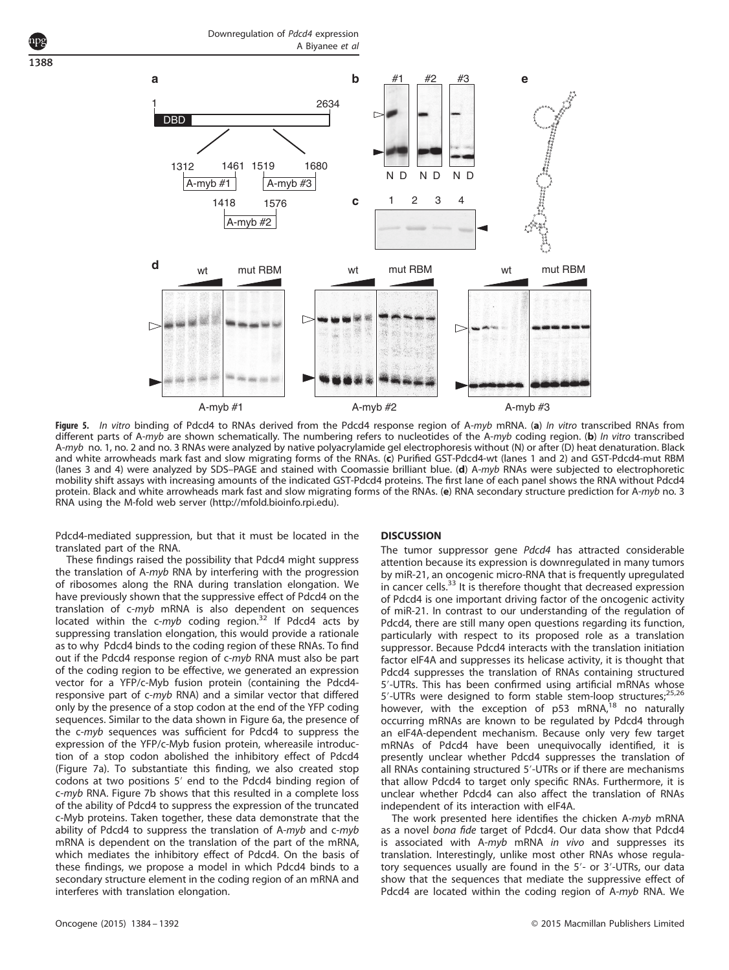

Figure 5. In vitro binding of Pdcd4 to RNAs derived from the Pdcd4 response region of A-myb mRNA. (a) In vitro transcribed RNAs from different parts of A-myb are shown schematically. The numbering refers to nucleotides of the A-myb coding region. (b) In vitro transcribed A-myb no. 1, no. 2 and no. 3 RNAs were analyzed by native polyacrylamide gel electrophoresis without (N) or after (D) heat denaturation. Black and white arrowheads mark fast and slow migrating forms of the RNAs. (c) Purified GST-Pdcd4-wt (lanes 1 and 2) and GST-Pdcd4-mut RBM (lanes 3 and 4) were analyzed by SDS-PAGE and stained with Coomassie brilliant blue. (d) A-myb RNAs were subjected to electrophoretic mobility shift assays with increasing amounts of the indicated GST-Pdcd4 proteins. The first lane of each panel shows the RNA without Pdcd4 protein. Black and white arrowheads mark fast and slow migrating forms of the RNAs. (e) RNA secondary structure prediction for A-myb no. 3 RNA using the M-fold web server (http://mfold.bioinfo.rpi.edu).

Pdcd4-mediated suppression, but that it must be located in the translated part of the RNA.

These findings raised the possibility that Pdcd4 might suppress the translation of A-myb RNA by interfering with the progression of ribosomes along the RNA during translation elongation. We have previously shown that the suppressive effect of Pdcd4 on the translation of c-myb mRNA is also dependent on sequences located within the  $c\text{-}myb$  coding region.<sup>32</sup> If Pdcd4 acts by suppressing translation elongation, this would provide a rationale as to why Pdcd4 binds to the coding region of these RNAs. To find out if the Pdcd4 response region of c-myb RNA must also be part of the coding region to be effective, we generated an expression vector for a YFP/c-Myb fusion protein (containing the Pdcd4 responsive part of c-myb RNA) and a similar vector that differed only by the presence of a stop codon at the end of the YFP coding sequences. Similar to the data shown in Figure 6a, the presence of the c-myb sequences was sufficient for Pdcd4 to suppress the expression of the YFP/c-Myb fusion protein, whereasile introduction of a stop codon abolished the inhibitory effect of Pdcd4 (Figure 7a). To substantiate this finding, we also created stop codons at two positions 5′ end to the Pdcd4 binding region of c-myb RNA. Figure 7b shows that this resulted in a complete loss of the ability of Pdcd4 to suppress the expression of the truncated c-Myb proteins. Taken together, these data demonstrate that the ability of Pdcd4 to suppress the translation of A-myb and c-myb mRNA is dependent on the translation of the part of the mRNA, which mediates the inhibitory effect of Pdcd4. On the basis of these findings, we propose a model in which Pdcd4 binds to a secondary structure element in the coding region of an mRNA and interferes with translation elongation.

# **DISCUSSION**

The tumor suppressor gene Pdcd4 has attracted considerable attention because its expression is downregulated in many tumors by miR-21, an oncogenic micro-RNA that is frequently upregulated in cancer cells.<sup>33</sup> It is therefore thought that decreased expression of Pdcd4 is one important driving factor of the oncogenic activity of miR-21. In contrast to our understanding of the regulation of Pdcd4, there are still many open questions regarding its function, particularly with respect to its proposed role as a translation suppressor. Because Pdcd4 interacts with the translation initiation factor eIF4A and suppresses its helicase activity, it is thought that Pdcd4 suppresses the translation of RNAs containing structured 5′-UTRs. This has been confirmed using artificial mRNAs whose 5'-UTRs were designed to form stable stem-loop structures;<sup>25,26</sup> however, with the exception of p53 mRNA,<sup>18</sup> no naturally occurring mRNAs are known to be regulated by Pdcd4 through an eIF4A-dependent mechanism. Because only very few target mRNAs of Pdcd4 have been unequivocally identified, it is presently unclear whether Pdcd4 suppresses the translation of all RNAs containing structured 5′-UTRs or if there are mechanisms that allow Pdcd4 to target only specific RNAs. Furthermore, it is unclear whether Pdcd4 can also affect the translation of RNAs independent of its interaction with eIF4A.

The work presented here identifies the chicken A-myb mRNA as a novel bona fide target of Pdcd4. Our data show that Pdcd4 is associated with A-myb mRNA in vivo and suppresses its translation. Interestingly, unlike most other RNAs whose regulatory sequences usually are found in the 5′- or 3′-UTRs, our data show that the sequences that mediate the suppressive effect of Pdcd4 are located within the coding region of A-myb RNA. We

1388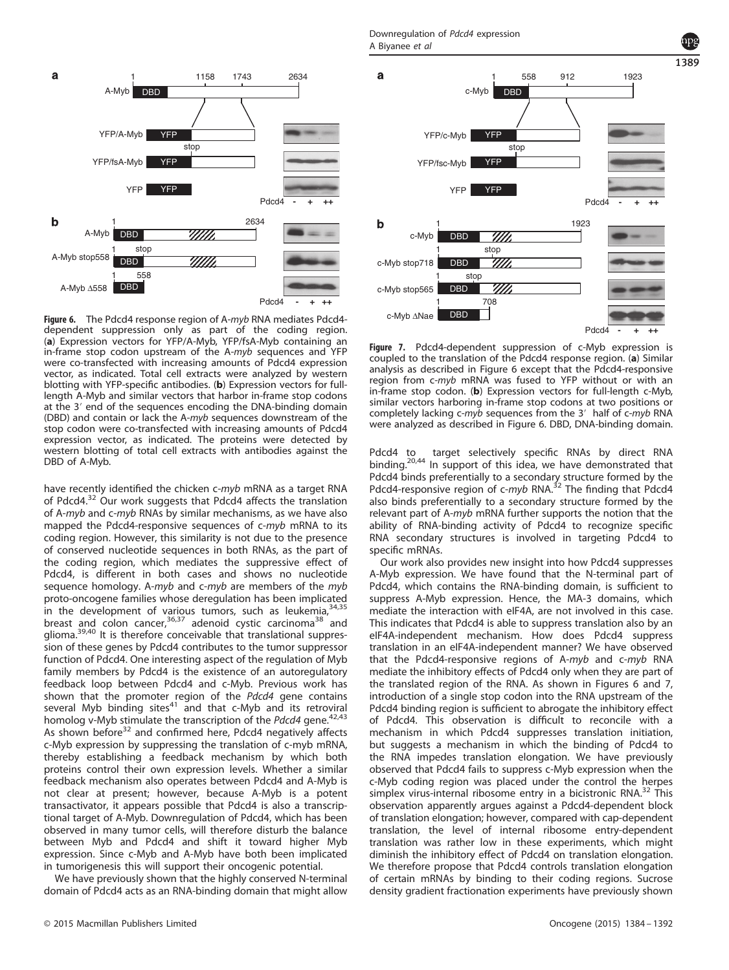

Figure 6. The Pdcd4 response region of A-myb RNA mediates Pdcd4dependent suppression only as part of the coding region. (a) Expression vectors for YFP/A-Myb, YFP/fsA-Myb containing an in-frame stop codon upstream of the A-myb sequences and YFP were co-transfected with increasing amounts of Pdcd4 expression vector, as indicated. Total cell extracts were analyzed by western blotting with YFP-specific antibodies. (b) Expression vectors for fulllength A-Myb and similar vectors that harbor in-frame stop codons at the 3′ end of the sequences encoding the DNA-binding domain (DBD) and contain or lack the A-myb sequences downstream of the stop codon were co-transfected with increasing amounts of Pdcd4 expression vector, as indicated. The proteins were detected by western blotting of total cell extracts with antibodies against the DBD of A-Myb.

have recently identified the chicken c-myb mRNA as a target RNA of Pdcd4.<sup>32</sup> Our work suggests that Pdcd4 affects the translation of A-myb and c-myb RNAs by similar mechanisms, as we have also mapped the Pdcd4-responsive sequences of c-myb mRNA to its coding region. However, this similarity is not due to the presence of conserved nucleotide sequences in both RNAs, as the part of the coding region, which mediates the suppressive effect of Pdcd4, is different in both cases and shows no nucleotide sequence homology. A-myb and c-myb are members of the myb proto-oncogene families whose deregulation has been implicated in the development of various tumors, such as leukemia,  $34,35$ breast and colon cancer,<sup>36,37</sup> adenoid cystic carcinoma<sup>38</sup> and glioma.39,40 It is therefore conceivable that translational suppression of these genes by Pdcd4 contributes to the tumor suppressor function of Pdcd4. One interesting aspect of the regulation of Myb family members by Pdcd4 is the existence of an autoregulatory feedback loop between Pdcd4 and c-Myb. Previous work has shown that the promoter region of the Pdcd4 gene contains several Myb binding sites<sup>41</sup> and that  $c$ -Myb and its retroviral homolog v-Myb stimulate the transcription of the Pdcd4 gene.<sup>42,43</sup> As shown before<sup>32</sup> and confirmed here, Pdcd4 negatively affects c-Myb expression by suppressing the translation of c-myb mRNA, thereby establishing a feedback mechanism by which both proteins control their own expression levels. Whether a similar feedback mechanism also operates between Pdcd4 and A-Myb is not clear at present; however, because A-Myb is a potent transactivator, it appears possible that Pdcd4 is also a transcriptional target of A-Myb. Downregulation of Pdcd4, which has been observed in many tumor cells, will therefore disturb the balance between Myb and Pdcd4 and shift it toward higher Myb expression. Since c-Myb and A-Myb have both been implicated in tumorigenesis this will support their oncogenic potential.

We have previously shown that the highly conserved N-terminal domain of Pdcd4 acts as an RNA-binding domain that might allow

Downregulation of Pdcd4 expression A Biyanee et al



1389

Figure 7. Pdcd4-dependent suppression of c-Myb expression is coupled to the translation of the Pdcd4 response region. (a) Similar analysis as described in Figure 6 except that the Pdcd4-responsive region from c-myb mRNA was fused to YFP without or with an in-frame stop codon. (b) Expression vectors for full-length c-Myb, similar vectors harboring in-frame stop codons at two positions or completely lacking c-myb sequences from the 3' half of c-myb RNA were analyzed as described in Figure 6. DBD, DNA-binding domain.

Pdcd4 to target selectively specific RNAs by direct RNA binding.<sup>20,44</sup> In support of this idea, we have demonstrated that Pdcd4 binds preferentially to a secondary structure formed by the Pdcd4-responsive region of c-myb RNA.<sup>32</sup> The finding that Pdcd4 also binds preferentially to a secondary structure formed by the relevant part of A-myb mRNA further supports the notion that the ability of RNA-binding activity of Pdcd4 to recognize specific RNA secondary structures is involved in targeting Pdcd4 to specific mRNAs.

Our work also provides new insight into how Pdcd4 suppresses A-Myb expression. We have found that the N-terminal part of Pdcd4, which contains the RNA-binding domain, is sufficient to suppress A-Myb expression. Hence, the MA-3 domains, which mediate the interaction with eIF4A, are not involved in this case. This indicates that Pdcd4 is able to suppress translation also by an eIF4A-independent mechanism. How does Pdcd4 suppress translation in an eIF4A-independent manner? We have observed that the Pdcd4-responsive regions of A-myb and c-myb RNA mediate the inhibitory effects of Pdcd4 only when they are part of the translated region of the RNA. As shown in Figures 6 and 7, introduction of a single stop codon into the RNA upstream of the Pdcd4 binding region is sufficient to abrogate the inhibitory effect of Pdcd4. This observation is difficult to reconcile with a mechanism in which Pdcd4 suppresses translation initiation, but suggests a mechanism in which the binding of Pdcd4 to the RNA impedes translation elongation. We have previously observed that Pdcd4 fails to suppress c-Myb expression when the c-Myb coding region was placed under the control the herpes simplex virus-internal ribosome entry in a bicistronic RNA.<sup>32</sup> This observation apparently argues against a Pdcd4-dependent block of translation elongation; however, compared with cap-dependent translation, the level of internal ribosome entry-dependent translation was rather low in these experiments, which might diminish the inhibitory effect of Pdcd4 on translation elongation. We therefore propose that Pdcd4 controls translation elongation of certain mRNAs by binding to their coding regions. Sucrose density gradient fractionation experiments have previously shown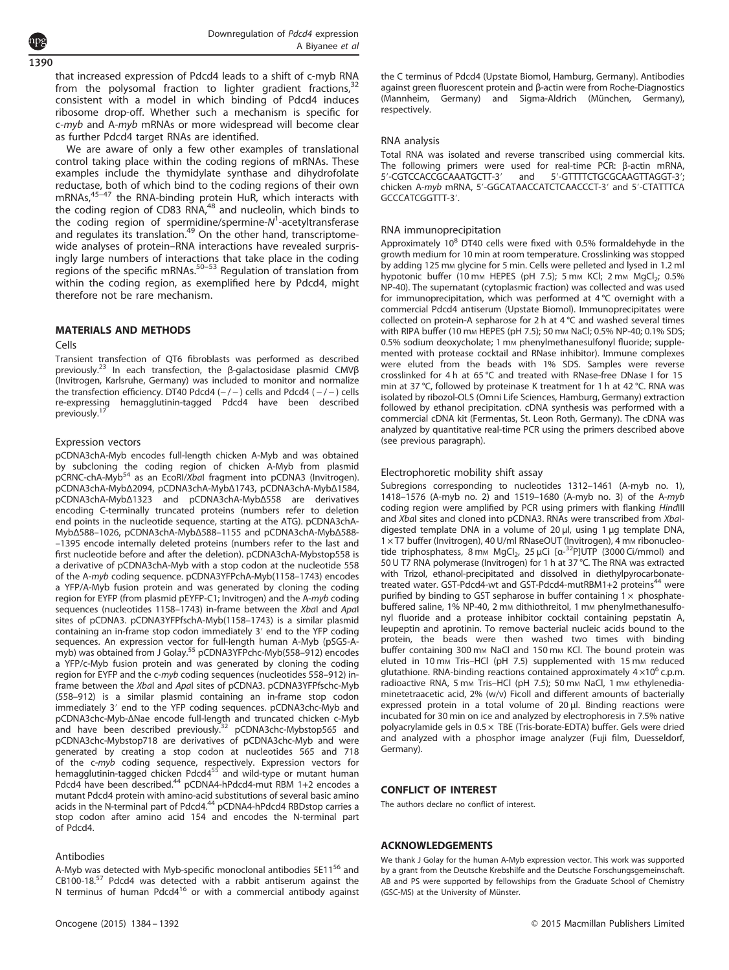1390

that increased expression of Pdcd4 leads to a shift of c-myb RNA from the polysomal fraction to lighter gradient fractions,<sup>32</sup> consistent with a model in which binding of Pdcd4 induces ribosome drop-off. Whether such a mechanism is specific for c-myb and A-myb mRNAs or more widespread will become clear as further Pdcd4 target RNAs are identified.

We are aware of only a few other examples of translational control taking place within the coding regions of mRNAs. These examples include the thymidylate synthase and dihydrofolate reductase, both of which bind to the coding regions of their own mRNAs,45–<sup>47</sup> the RNA-binding protein HuR, which interacts with the coding region of CD83 RNA,<sup>48</sup> and nucleolin, which binds to the coding region of spermidine/spermine-N<sup>1</sup>-acetyltransferase and regulates its translation.<sup>49</sup> On the other hand, transcriptomewide analyses of protein–RNA interactions have revealed surprisingly large numbers of interactions that take place in the coding regions of the specific mRNAs.<sup>50–53</sup> Regulation of translation from within the coding region, as exemplified here by Pdcd4, might therefore not be rare mechanism.

# MATERIALS AND METHODS

#### Cells

Transient transfection of QT6 fibroblasts was performed as described previously.<sup>23</sup> In each transfection, the β-galactosidase plasmid CMVβ (Invitrogen, Karlsruhe, Germany) was included to monitor and normalize the transfection efficiency. DT40 Pdcd4  $(-/-)$  cells and Pdcd4  $(-/-)$  cells re-expressing hemagglutinin-tagged Pdcd4 have been described previously. $1$ 

# Expression vectors

pCDNA3chA-Myb encodes full-length chicken A-Myb and was obtained by subcloning the coding region of chicken A-Myb from plasmid pCRNC-chA-Myb<sup>54</sup> as an EcoRI/XbaI fragment into pCDNA3 (Invitrogen). pCDNA3chA-MybΔ2094, pCDNA3chA-MybΔ1743, pCDNA3chA-MybΔ1584, pCDNA3chA-MybΔ1323 and pCDNA3chA-MybΔ558 are derivatives encoding C-terminally truncated proteins (numbers refer to deletion end points in the nucleotide sequence, starting at the ATG). pCDNA3chA-MybΔ588–1026, pCDNA3chA-MybΔ588–1155 and pCDNA3chA-MybΔ588- –1395 encode internally deleted proteins (numbers refer to the last and first nucleotide before and after the deletion). pCDNA3chA-Mybstop558 is a derivative of pCDNA3chA-Myb with a stop codon at the nucleotide 558 of the A-myb coding sequence. pCDNA3YFPchA-Myb(1158–1743) encodes a YFP/A-Myb fusion protein and was generated by cloning the coding region for EYFP (from plasmid pEYFP-C1; Invitrogen) and the A-myb coding sequences (nucleotides 1158–1743) in-frame between the XbaI and ApaI sites of pCDNA3. pCDNA3YFPfschA-Myb(1158–1743) is a similar plasmid containing an in-frame stop codon immediately 3′ end to the YFP coding sequences. An expression vector for full-length human A-Myb (pSG5-A-<br>myb) was obtained from J Golay.<sup>55</sup> pCDNA3YFPchc-Myb(558–912) encodes a YFP/c-Myb fusion protein and was generated by cloning the coding region for EYFP and the c-myb coding sequences (nucleotides 558–912) inframe between the XbaI and ApaI sites of pCDNA3. pCDNA3YFPfschc-Myb (558–912) is a similar plasmid containing an in-frame stop codon immediately 3′ end to the YFP coding sequences. pCDNA3chc-Myb and pCDNA3chc-Myb-ΔNae encode full-length and truncated chicken c-Myb and have been described previously.<sup>32</sup> pCDNA3chc-Mybstop565 and pCDNA3chc-Mybstop718 are derivatives of pCDNA3chc-Myb and were generated by creating a stop codon at nucleotides 565 and 718 of the c-*myb* coding sequence, respectively. Expression vectors for<br>hemagglutinin-tagged chicken Pdcd4<sup>55</sup> and wild-type or mutant human Pdcd4 have been described.<sup>44</sup> pCDNA4-hPdcd4-mut RBM 1+2 encodes a mutant Pdcd4 protein with amino-acid substitutions of several basic amino acids in the N-terminal part of Pdcd4.<sup>44</sup> pCDNA4-hPdcd4 RBDstop carries a stop codon after amino acid 154 and encodes the N-terminal part of Pdcd4.

# Antibodies

A-Myb was detected with Myb-specific monoclonal antibodies 5E11<sup>56</sup> and  $CB100-18.57$  Pdcd4 was detected with a rabbit antiserum against the N terminus of human Pdcd4<sup>16</sup> or with a commercial antibody against the C terminus of Pdcd4 (Upstate Biomol, Hamburg, Germany). Antibodies against green fluorescent protein and β-actin were from Roche-Diagnostics (Mannheim, Germany) and Sigma-Aldrich (München, Germany), respectively.

#### RNA analysis

Total RNA was isolated and reverse transcribed using commercial kits. The following primers were used for real-time PCR: β-actin mRNA,<br>5'-CGTCCACCGCAAATGCTT-3' and 5'-GTTTTCTGCGCAAGTTAGGT-3': 5′-GTTTTCTGCGCAAGTTAGGT-3′; chicken A-myb mRNA, 5′-GGCATAACCATCTCAACCCT-3′ and 5′-CTATTTCA GCCCATCGGTTT-3′.

# RNA immunoprecipitation

Approximately  $10^8$  DT40 cells were fixed with 0.5% formaldehyde in the growth medium for 10 min at room temperature. Crosslinking was stopped by adding 125 mm glycine for 5 min. Cells were pelleted and lysed in 1.2 ml hypotonic buffer (10 mm HEPES (pH 7.5); 5 mm KCI; 2 mm MgCl<sub>2</sub>; 0.5% NP-40). The supernatant (cytoplasmic fraction) was collected and was used for immunoprecipitation, which was performed at 4 °C overnight with a commercial Pdcd4 antiserum (Upstate Biomol). Immunoprecipitates were collected on protein-A sepharose for 2 h at 4 °C and washed several times with RIPA buffer (10 mm HEPES (pH 7.5); 50 mm NaCl; 0.5% NP-40; 0.1% SDS; 0.5% sodium deoxycholate; 1 mm phenylmethanesulfonyl fluoride; supplemented with protease cocktail and RNase inhibitor). Immune complexes were eluted from the beads with 1% SDS. Samples were reverse crosslinked for 4 h at 65 °C and treated with RNase-free DNase I for 15 min at 37 °C, followed by proteinase K treatment for 1 h at 42 °C. RNA was isolated by ribozol-OLS (Omni Life Sciences, Hamburg, Germany) extraction followed by ethanol precipitation. cDNA synthesis was performed with a commercial cDNA kit (Fermentas, St. Leon Roth, Germany). The cDNA was analyzed by quantitative real-time PCR using the primers described above (see previous paragraph).

# Electrophoretic mobility shift assay

Subregions corresponding to nucleotides 1312–1461 (A-myb no. 1), 1418–1576 (A-myb no. 2) and 1519–1680 (A-myb no. 3) of the A-myb coding region were amplified by PCR using primers with flanking HindIII and Xbal sites and cloned into pCDNA3. RNAs were transcribed from Xbaldigested template DNA in a volume of 20 μl, using 1 μg template DNA, 1 × T7 buffer (Invitrogen), 40 U/ml RNaseOUT (Invitrogen), 4 mm ribonucleotide triphosphatess,  $8 \text{ mm } \text{MgCl}_2$ ,  $25 \mu \text{Ci}$  [ $\alpha^{-32}$ P]UTP (3000 Ci/mmol) and 50 U T7 RNA polymerase (Invitrogen) for 1 h at 37 °C. The RNA was extracted with Trizol, ethanol-precipitated and dissolved in diethylpyrocarbonatetreated water. GST-Pdcd4-wt and GST-Pdcd4-mutRBM1+2 proteins<sup>44</sup> were purified by binding to GST sepharose in buffer containing  $1 \times$  phosphatebuffered saline, 1% NP-40, 2 mm dithiothreitol, 1 mm phenylmethanesulfonyl fluoride and a protease inhibitor cocktail containing pepstatin A, leupeptin and aprotinin. To remove bacterial nucleic acids bound to the protein, the beads were then washed two times with binding buffer containing 300 mm NaCl and 150 mm KCl. The bound protein was eluted in 10 mm Tris-HCl (pH 7.5) supplemented with 15 mm reduced glutathione. RNA-binding reactions contained approximately  $4 \times 10^6$  c.p.m. radioactive RNA, 5 mm Tris-HCl (pH 7.5); 50 mm NaCl, 1 mm ethylenediaminetetraacetic acid, 2% (w/v) Ficoll and different amounts of bacterially expressed protein in a total volume of 20 μl. Binding reactions were incubated for 30 min on ice and analyzed by electrophoresis in 7.5% native polyacrylamide gels in  $0.5 \times$  TBE (Tris-borate-EDTA) buffer. Gels were dried and analyzed with a phosphor image analyzer (Fuji film, Duesseldorf, Germany).

# CONFLICT OF INTEREST

The authors declare no conflict of interest.

# ACKNOWLEDGEMENTS

We thank J Golay for the human A-Myb expression vector. This work was supported by a grant from the Deutsche Krebshilfe and the Deutsche Forschungsgemeinschaft. AB and PS were supported by fellowships from the Graduate School of Chemistry (GSC-MS) at the University of Münster.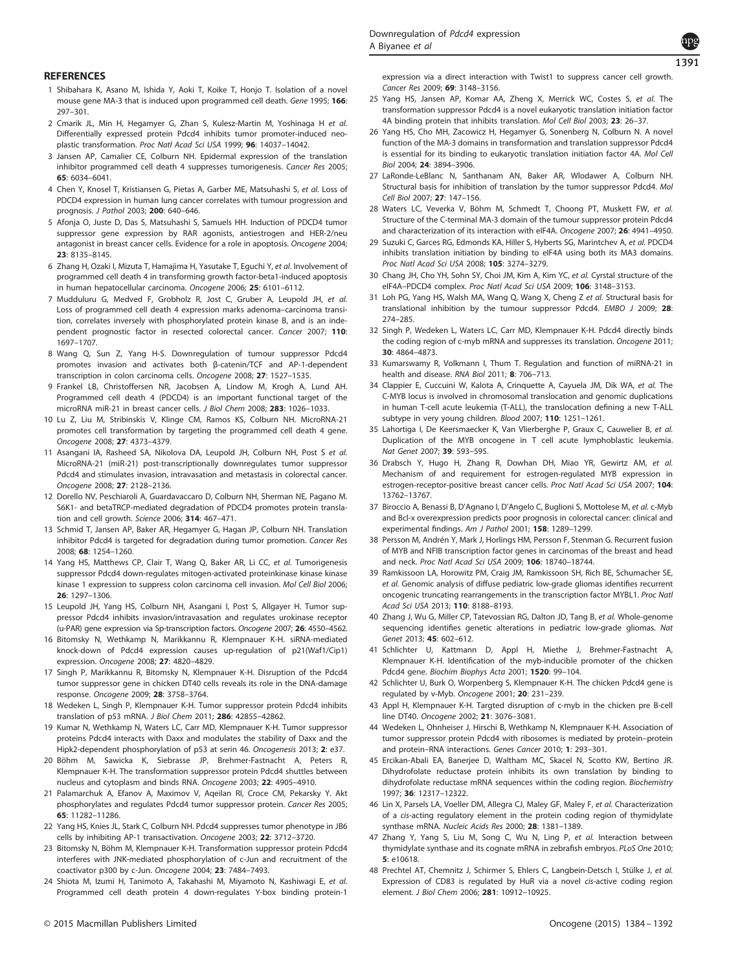# **REFERENCES**

- 1 Shibahara K, Asano M, Ishida Y, Aoki T, Koike T, Honjo T. Isolation of a novel mouse gene MA-3 that is induced upon programmed cell death. Gene 1995; 166: 297–301.
- 2 Cmarik JL, Min H, Hegamyer G, Zhan S, Kulesz-Martin M, Yoshinaga H et al. Differentially expressed protein Pdcd4 inhibits tumor promoter-induced neoplastic transformation. Proc Natl Acad Sci USA 1999; 96: 14037–14042.
- 3 Jansen AP, Camalier CE, Colburn NH. Epidermal expression of the translation inhibitor programmed cell death 4 suppresses tumorigenesis. Cancer Res 2005; 65: 6034–6041.
- 4 Chen Y, Knosel T, Kristiansen G, Pietas A, Garber ME, Matsuhashi S, et al. Loss of PDCD4 expression in human lung cancer correlates with tumour progression and prognosis. J Pathol 2003; 200: 640–646.
- 5 Afonja O, Juste D, Das S, Matsuhashi S, Samuels HH. Induction of PDCD4 tumor suppressor gene expression by RAR agonists, antiestrogen and HER-2/neu antagonist in breast cancer cells. Evidence for a role in apoptosis. Oncogene 2004; 23: 8135–8145.
- 6 Zhang H, Ozaki I, Mizuta T, Hamajima H, Yasutake T, Eguchi Y, et al. Involvement of programmed cell death 4 in transforming growth factor-beta1-induced apoptosis in human hepatocellular carcinoma. Oncogene 2006: 25: 6101-6112.
- 7 Mudduluru G, Medved F, Grobholz R, Jost C, Gruber A, Leupold JH, et al. Loss of programmed cell death 4 expression marks adenoma–carcinoma transition, correlates inversely with phosphorylated protein kinase B, and is an independent prognostic factor in resected colorectal cancer. Cancer 2007; 110: 1697–1707.
- 8 Wang Q, Sun Z, Yang H-S. Downregulation of tumour suppressor Pdcd4 promotes invasion and activates both β-catenin/TCF and AP-1-dependent transcription in colon carcinoma cells. Oncogene 2008; 27: 1527–1535.
- 9 Frankel LB, Christoffersen NR, Jacobsen A, Lindow M, Krogh A, Lund AH. Programmed cell death 4 (PDCD4) is an important functional target of the microRNA miR-21 in breast cancer cells. J Biol Chem 2008; 283: 1026–1033.
- 10 Lu Z, Liu M, Stribinskis V, Klinge CM, Ramos KS, Colburn NH. MicroRNA-21 promotes cell transformation by targeting the programmed cell death 4 gene. Oncogene 2008; 27: 4373–4379.
- 11 Asangani IA, Rasheed SA, Nikolova DA, Leupold JH, Colburn NH, Post S et al. MicroRNA-21 (miR-21) post-transcriptionally downregulates tumor suppressor Pdcd4 and stimulates invasion, intravasation and metastasis in colorectal cancer. Oncogene 2008; 27: 2128–2136.
- 12 Dorello NV, Peschiaroli A, Guardavaccaro D, Colburn NH, Sherman NE, Pagano M. S6K1- and betaTRCP-mediated degradation of PDCD4 promotes protein translation and cell growth. Science 2006; 314: 467–471.
- 13 Schmid T, Jansen AP, Baker AR, Hegamyer G, Hagan JP, Colburn NH. Translation inhibitor Pdcd4 is targeted for degradation during tumor promotion. Cancer Res 2008; 68: 1254–1260.
- 14 Yang HS, Matthews CP, Clair T, Wang Q, Baker AR, Li CC, et al. Tumorigenesis suppressor Pdcd4 down-regulates mitogen-activated proteinkinase kinase kinase kinase 1 expression to suppress colon carcinoma cell invasion. Mol Cell Biol 2006; 26: 1297–1306.
- 15 Leupold JH, Yang HS, Colburn NH, Asangani I, Post S, Allgayer H. Tumor suppressor Pdcd4 inhibits invasion/intravasation and regulates urokinase receptor (u-PAR) gene expression via Sp-transcription factors. Oncogene 2007; 26: 4550–4562.
- 16 Bitomsky N, Wethkamp N, Marikkannu R, Klempnauer K-H. siRNA-mediated knock-down of Pdcd4 expression causes up-regulation of p21(Waf1/Cip1) expression. Oncogene 2008; 27: 4820–4829.
- 17 Singh P, Marikkannu R, Bitomsky N, Klempnauer K-H. Disruption of the Pdcd4 tumor suppressor gene in chicken DT40 cells reveals its role in the DNA-damage response. Oncogene 2009; 28: 3758–3764.
- 18 Wedeken L, Singh P, Klempnauer K-H. Tumor suppressor protein Pdcd4 inhibits translation of p53 mRNA. J Biol Chem 2011; 286: 42855–42862.
- 19 Kumar N, Wethkamp N, Waters LC, Carr MD, Klempnauer K-H. Tumor suppressor proteins Pdcd4 interacts with Daxx and modulates the stability of Daxx and the Hipk2-dependent phosphorylation of p53 at serin 46. Oncogenesis 2013; 2: e37.
- 20 Böhm M, Sawicka K, Siebrasse JP, Brehmer-Fastnacht A, Peters R, Klempnauer K-H. The transformation suppressor protein Pdcd4 shuttles between nucleus and cytoplasm and binds RNA. Oncogene 2003; 22: 4905–4910.
- 21 Palamarchuk A, Efanov A, Maximov V, Aqeilan RI, Croce CM, Pekarsky Y. Akt phosphorylates and regulates Pdcd4 tumor suppressor protein. Cancer Res 2005; 65: 11282–11286.
- 22 Yang HS, Knies JL, Stark C, Colburn NH. Pdcd4 suppresses tumor phenotype in JB6 cells by inhibiting AP-1 transactivation. Oncogene 2003; 22: 3712–3720.
- 23 Bitomsky N, Böhm M, Klempnauer K-H. Transformation suppressor protein Pdcd4 interferes with JNK-mediated phosphorylation of c-Jun and recruitment of the coactivator p300 by c-Jun. Oncogene 2004; 23: 7484–7493.
- 24 Shiota M, Izumi H, Tanimoto A, Takahashi M, Miyamoto N, Kashiwagi E, et al. Programmed cell death protein 4 down-regulates Y-box binding protein-1

expression via a direct interaction with Twist1 to suppress cancer cell growth. Cancer Res 2009; 69: 3148–3156.

- 25 Yang HS, Jansen AP, Komar AA, Zheng X, Merrick WC, Costes S, et al. The transformation suppressor Pdcd4 is a novel eukaryotic translation initiation factor 4A binding protein that inhibits translation. Mol Cell Biol 2003; 23: 26–37.
- 26 Yang HS, Cho MH, Zacowicz H, Hegamyer G, Sonenberg N, Colburn N. A novel function of the MA-3 domains in transformation and translation suppressor Pdcd4 is essential for its binding to eukaryotic translation initiation factor 4A. Mol Cell Biol 2004; 24: 3894–3906.
- 27 LaRonde-LeBlanc N, Santhanam AN, Baker AR, Wlodawer A, Colburn NH. Structural basis for inhibition of translation by the tumor suppressor Pdcd4. Mol Cell Biol 2007; 27: 147–156.
- 28 Waters LC, Veverka V, Böhm M, Schmedt T, Choong PT, Muskett FW, et al. Structure of the C-terminal MA-3 domain of the tumour suppressor protein Pdcd4 and characterization of its interaction with eIF4A. Oncogene 2007: 26: 4941-4950.
- 29 Suzuki C, Garces RG, Edmonds KA, Hiller S, Hyberts SG, Marintchev A, et al. PDCD4 inhibits translation initiation by binding to eIF4A using both its MA3 domains. Proc Natl Acad Sci USA 2008; 105: 3274–3279.
- 30 Chang JH, Cho YH, Sohn SY, Choi JM, Kim A, Kim YC, et al. Cyrstal structure of the eIF4A–PDCD4 complex. Proc Natl Acad Sci USA 2009; 106: 3148–3153.
- 31 Loh PG, Yang HS, Walsh MA, Wang Q, Wang X, Cheng Z et al. Structural basis for translational inhibition by the tumour suppressor Pdcd4. EMBO J 2009; 28: 274–285.
- 32 Singh P, Wedeken L, Waters LC, Carr MD, Klempnauer K-H. Pdcd4 directly binds the coding region of c-myb mRNA and suppresses its translation. Oncogene 2011; 30: 4864–4873.
- 33 Kumarswamy R, Volkmann I, Thum T. Regulation and function of miRNA-21 in health and disease. RNA Biol 2011; 8: 706–713.
- 34 Clappier E, Cuccuini W, Kalota A, Crinquette A, Cayuela JM, Dik WA, et al. The C-MYB locus is involved in chromosomal translocation and genomic duplications in human T-cell acute leukemia (T-ALL), the translocation defining a new T-ALL subtype in very young children. Blood 2007; 110: 1251–1261.
- 35 Lahortiga I, De Keersmaecker K, Van Vlierberghe P, Graux C, Cauwelier B, et al. Duplication of the MYB oncogene in T cell acute lymphoblastic leukemia. Nat Genet 2007; 39: 593–595.
- 36 Drabsch Y, Hugo H, Zhang R, Dowhan DH, Miao YR, Gewirtz AM, et al. Mechanism of and requirement for estrogen-regulated MYB expression in estrogen-receptor-positive breast cancer cells. Proc Natl Acad Sci USA 2007; 104: 13762–13767.
- 37 Biroccio A, Benassi B, D'Agnano I, D'Angelo C, Buglioni S, Mottolese M, et al. c-Myb and Bcl-x overexpression predicts poor prognosis in colorectal cancer: clinical and experimental findings. Am J Pathol 2001; 158: 1289–1299.
- 38 Persson M, Andrén Y, Mark J, Horlings HM, Persson F, Stenman G. Recurrent fusion of MYB and NFIB transcription factor genes in carcinomas of the breast and head and neck. Proc Natl Acad Sci USA 2009; 106: 18740–18744.
- 39 Ramkissoon LA, Horowitz PM, Craig JM, Ramkissoon SH, Rich BE, Schumacher SE, et al. Genomic analysis of diffuse pediatric low-grade gliomas identifies recurrent oncogenic truncating rearrangements in the transcription factor MYBL1. Proc Natl Acad Sci USA 2013; 110: 8188–8193.
- 40 Zhang J, Wu G, Miller CP, Tatevossian RG, Dalton JD, Tang B, et al. Whole-genome sequencing identifies genetic alterations in pediatric low-grade gliomas. Nat Genet 2013; 45: 602–612.
- 41 Schlichter U, Kattmann D, Appl H, Miethe J, Brehmer-Fastnacht A, Klempnauer K-H. Identification of the myb-inducible promoter of the chicken Pdcd4 gene. Biochim Biophys Acta 2001; 1520: 99–104.
- 42 Schlichter U, Burk O, Worpenberg S, Klempnauer K-H. The chicken Pdcd4 gene is regulated by v-Myb. Oncogene 2001; 20: 231–239.
- 43 Appl H, Klempnauer K-H. Targted disruption of c-myb in the chicken pre B-cell line DT40. Oncogene 2002; 21: 3076–3081.
- 44 Wedeken L, Ohnheiser J, Hirschi B, Wethkamp N, Klempnauer K-H. Association of tumor suppressor protein Pdcd4 with ribosomes is mediated by protein–protein and protein–RNA interactions. Genes Cancer 2010; 1: 293–301.
- 45 Ercikan-Abali EA, Banerjee D, Waltham MC, Skacel N, Scotto KW, Bertino JR. Dihydrofolate reductase protein inhibits its own translation by binding to dihydrofolate reductase mRNA sequences within the coding region. Biochemistry 1997; 36: 12317–12322.
- 46 Lin X, Parsels LA, Voeller DM, Allegra CJ, Maley GF, Maley F, et al. Characterization of a cis-acting regulatory element in the protein coding region of thymidylate synthase mRNA. Nucleic Acids Res 2000; 28: 1381–1389.
- 47 Zhang Y, Yang S, Liu M, Song C, Wu N, Ling P, et al. Interaction between thymidylate synthase and its cognate mRNA in zebrafish embryos. PLoS One 2010; 5: e10618.
- 48 Prechtel AT, Chemnitz J, Schirmer S, Ehlers C, Langbein-Detsch I, Stülke J, et al. Expression of CD83 is regulated by HuR via a novel cis-active coding region element. J Biol Chem 2006; 281: 10912–10925.